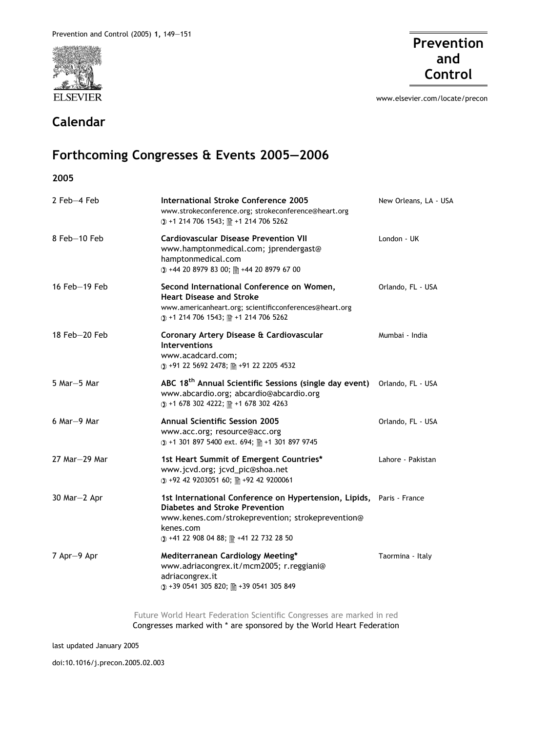

## Calendar

2005



www.elsevier.com/locate/precon

## Forthcoming Congresses & Events 2005–2006

| 2 Feb-4 Feb        | International Stroke Conference 2005<br>www.strokeconference.org; strokeconference@heart.org<br>① +1 214 706 1543; 图 +1 214 706 5262                                                                                      | New Orleans, LA - USA |
|--------------------|---------------------------------------------------------------------------------------------------------------------------------------------------------------------------------------------------------------------------|-----------------------|
| 8 Feb-10 Feb       | <b>Cardiovascular Disease Prevention VII</b><br>www.hamptonmedical.com; jprendergast@<br>hamptonmedical.com<br>① +44 20 8979 83 00; 图 +44 20 8979 67 00                                                                   | London - UK           |
| 16 Feb-19 Feb      | Second International Conference on Women,<br><b>Heart Disease and Stroke</b><br>www.americanheart.org; scientificconferences@heart.org<br>① +1 214 706 1543; 图 +1 214 706 5262                                            | Orlando, FL - USA     |
| $18$ Feb $-20$ Feb | Coronary Artery Disease & Cardiovascular<br><b>Interventions</b><br>www.acadcard.com;<br>(0) +91 22 5692 2478; 图 +91 22 2205 4532                                                                                         | Mumbai - India        |
| 5 Mar-5 Mar        | ABC 18 <sup>th</sup> Annual Scientific Sessions (single day event)<br>www.abcardio.org; abcardio@abcardio.org<br>① +1 678 302 4222; 图 +1 678 302 4263                                                                     | Orlando, FL - USA     |
| $6$ Mar $-9$ Mar   | <b>Annual Scientific Session 2005</b><br>www.acc.org; resource@acc.org<br>① +1 301 897 5400 ext. 694; 图 +1 301 897 9745                                                                                                   | Orlando, FL - USA     |
| 27 Mar-29 Mar      | 1st Heart Summit of Emergent Countries*<br>www.jcvd.org; jcvd_pic@shoa.net<br>(0) +92 42 9203051 60; 图 +92 42 9200061                                                                                                     | Lahore - Pakistan     |
| 30 Mar-2 Apr       | 1st International Conference on Hypertension, Lipids, Paris - France<br><b>Diabetes and Stroke Prevention</b><br>www.kenes.com/strokeprevention; strokeprevention@<br>kenes.com<br>① +41 22 908 04 88; 图 +41 22 732 28 50 |                       |
| 7 Apr-9 Apr        | Mediterranean Cardiology Meeting*<br>www.adriacongrex.it/mcm2005; r.reggiani@<br>adriacongrex.it<br>①+39 0541 305 820; 图+39 0541 305 849                                                                                  | Taormina - Italy      |
|                    |                                                                                                                                                                                                                           |                       |

Future World Heart Federation Scientific Congresses are marked in red Congresses marked with \* are sponsored by the World Heart Federation

last updated January 2005

doi:10.1016/j.precon.2005.02.003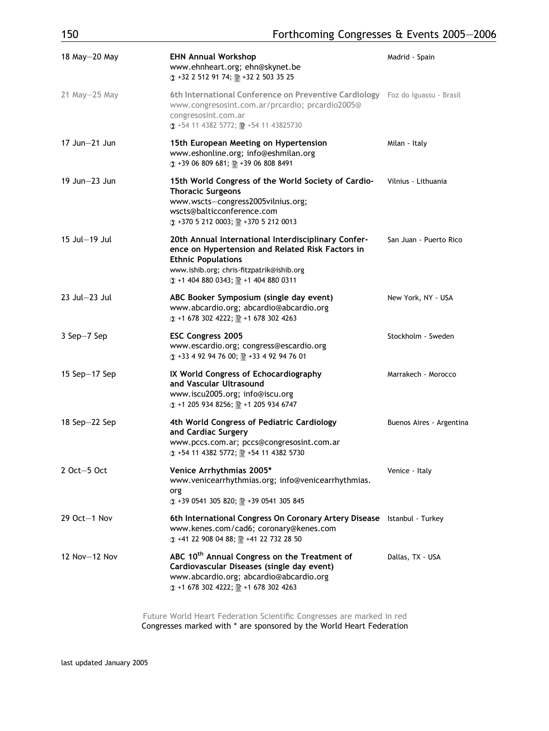| 18 May-20 May      | <b>EHN Annual Workshop</b><br>www.ehnheart.org; ehn@skynet.be<br>① +32 2 512 91 74; 图 +32 2 503 35 25                                                                                                                     | Madrid - Spain           |
|--------------------|---------------------------------------------------------------------------------------------------------------------------------------------------------------------------------------------------------------------------|--------------------------|
| $21$ May $-25$ May | 6th International Conference on Preventive Cardiology Foz do Iguassu - Brasil<br>www.congresosint.com.ar/prcardio; prcardio2005@<br>congresosint.com.ar<br>① +54 11 4382 5772; 图 +54 11 43825730                          |                          |
| $17$ Jun $-21$ Jun | 15th European Meeting on Hypertension<br>www.eshonline.org; info@eshmilan.org<br>① +39 06 809 681; 图 +39 06 808 8491                                                                                                      | Milan - Italy            |
| $19$ Jun $-23$ Jun | 15th World Congress of the World Society of Cardio-<br><b>Thoracic Surgeons</b><br>www.wscts-congress2005vilnius.org;<br>wscts@balticconference.com<br>① +370 5 212 0003; 图 +370 5 212 0013                               | Vilnius - Lithuania      |
| 15 Jul-19 Jul      | 20th Annual International Interdisciplinary Confer-<br>ence on Hypertension and Related Risk Factors in<br><b>Ethnic Populations</b><br>www.ishib.org; chris-fitzpatrik@ishib.org<br>① +1 404 880 0343; 图 +1 404 880 0311 | San Juan - Puerto Rico   |
| $23$ Jul $-23$ Jul | ABC Booker Symposium (single day event)<br>www.abcardio.org; abcardio@abcardio.org<br>① +1 678 302 4222; 图 +1 678 302 4263                                                                                                | New York, NY - USA       |
| 3 Sep-7 Sep        | <b>ESC Congress 2005</b><br>www.escardio.org; congress@escardio.org<br>① +33 4 92 94 76 00; 图 +33 4 92 94 76 01                                                                                                           | Stockholm - Sweden       |
| 15 Sep $-17$ Sep   | IX World Congress of Echocardiography<br>and Vascular Ultrasound<br>www.iscu2005.org; info@iscu.org<br>① +1 205 934 8256; 图 +1 205 934 6747                                                                               | Marrakech - Morocco      |
| 18 Sep $-22$ Sep   | 4th World Congress of Pediatric Cardiology<br>and Cardiac Surgery<br>www.pccs.com.ar; pccs@congresosint.com.ar<br>① +54 11 4382 5772; 图 +54 11 4382 5730                                                                  | Buenos Aires - Argentina |
| 2 Oct-5 Oct        | Venice Arrhythmias 2005*<br>www.venicearrhythmias.org; info@venicearrhythmias.<br>org<br>① +39 0541 305 820; 图 +39 0541 305 845                                                                                           | Venice - Italy           |
| $29$ Oct $-1$ Nov  | 6th International Congress On Coronary Artery Disease Istanbul - Turkey<br>www.kenes.com/cad6; coronary@kenes.com<br>① +41 22 908 04 88; 图 +41 22 732 28 50                                                               |                          |
| 12 Nov-12 Nov      | ABC 10 <sup>th</sup> Annual Congress on the Treatment of<br>Cardiovascular Diseases (single day event)<br>www.abcardio.org; abcardio@abcardio.org<br>① +1 678 302 4222; 图 +1 678 302 4263                                 | Dallas, TX - USA         |

Future World Heart Federation Scientific Congresses are marked in red Congresses marked with \* are sponsored by the World Heart Federation